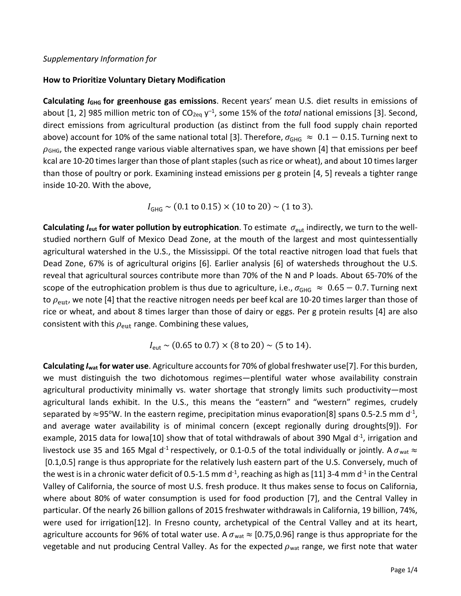## *Supplementary Information for*

## **How to Prioritize Voluntary Dietary Modification**

**Calculating** *I***<sub>GHG</sub> for greenhouse gas emissions**. Recent years' mean U.S. diet results in emissions of about [1, 2] 985 million metric ton of CO<sub>2eq</sub> y<sup>-1</sup>, some 15% of the *total* national emissions [3]. Second, direct emissions from agricultural production (as distinct from the full food supply chain reported above) account for 10% of the same national total [3]. Therefore,  $\sigma_{\text{GHG}} \approx 0.1 - 0.15$ . Turning next to  $\rho_{\text{GHG}}$ , the expected range various viable alternatives span, we have shown [4] that emissions per beef kcal are 10-20 times larger than those of plant staples (such as rice or wheat), and about 10 times larger than those of poultry or pork. Examining instead emissions per g protein [4, 5] reveals a tighter range inside 10-20. With the above,

 $I_{\text{GHG}} \sim (0.1 \text{ to } 0.15) \times (10 \text{ to } 20) \sim (1 \text{ to } 3).$ 

**Calculating**  $I_{\text{eut}}$  **for water pollution by eutrophication.** To estimate  $\sigma_{\text{eut}}$  indirectly, we turn to the wellstudied northern Gulf of Mexico Dead Zone, at the mouth of the largest and most quintessentially agricultural watershed in the U.S., the Mississippi. Of the total reactive nitrogen load that fuels that Dead Zone, 67% is of agricultural origins [6]. Earlier analysis [6] of watersheds throughout the U.S. reveal that agricultural sources contribute more than 70% of the N and P loads. About 65-70% of the scope of the eutrophication problem is thus due to agriculture, i.e.,  $\sigma_{GHG} \approx 0.65 - 0.7$ . Turning next to  $\rho_{\text{eut}}$ , we note [4] that the reactive nitrogen needs per beef kcal are 10-20 times larger than those of rice or wheat, and about 8 times larger than those of dairy or eggs. Per g protein results [4] are also consistent with this  $\rho_{\text{eut}}$  range. Combining these values,

 $I_{\text{eut}} \sim (0.65 \text{ to } 0.7) \times (8 \text{ to } 20) \sim (5 \text{ to } 14).$ 

**Calculating** *I***wat for water use**. Agriculture accountsfor 70% of global freshwater use[7]. For this burden, we must distinguish the two dichotomous regimes—plentiful water whose availability constrain agricultural productivity minimally vs. water shortage that strongly limits such productivity—most agricultural lands exhibit. In the U.S., this means the "eastern" and "western" regimes, crudely separated by  $\approx$ 95°W. In the eastern regime, precipitation minus evaporation[8] spans 0.5-2.5 mm d<sup>-1</sup>, and average water availability is of minimal concern (except regionally during droughts[9]). For example, 2015 data for Iowa[10] show that of total withdrawals of about 390 Mgal d<sup>-1</sup>, irrigation and livestock use 35 and 165 Mgal d<sup>-1</sup> respectively, or 0.1-0.5 of the total individually or jointly. A  $\sigma_{\text{wat}} \approx$ [0.1,0.5] range is thus appropriate for the relatively lush eastern part of the U.S. Conversely, much of the west is in a chronic water deficit of 0.5-1.5 mm d<sup>-1</sup>, reaching as high as [11] 3-4 mm d<sup>-1</sup> in the Central Valley of California, the source of most U.S. fresh produce. It thus makes sense to focus on California, where about 80% of water consumption is used for food production [7], and the Central Valley in particular. Of the nearly 26 billion gallons of 2015 freshwater withdrawals in California, 19 billion, 74%, were used for irrigation[12]. In Fresno county, archetypical of the Central Valley and at its heart, agriculture accounts for 96% of total water use. A  $\sigma_{\text{wat}} \approx$  [0.75,0.96] range is thus appropriate for the vegetable and nut producing Central Valley. As for the expected  $\rho_{\text{wat}}$  range, we first note that water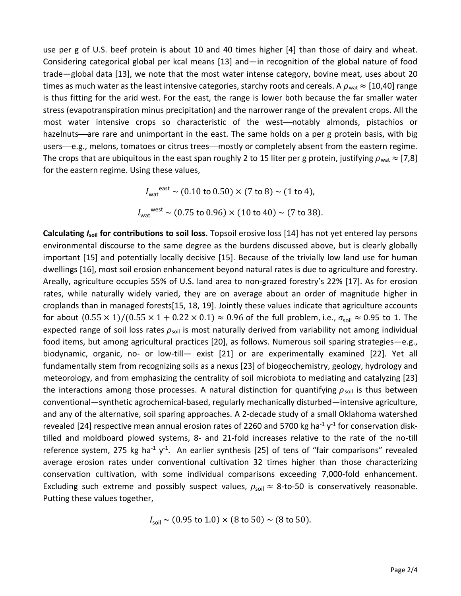use per g of U.S. beef protein is about 10 and 40 times higher [4] than those of dairy and wheat. Considering categorical global per kcal means [13] and—in recognition of the global nature of food trade—global data [13], we note that the most water intense category, bovine meat, uses about 20 times as much water as the least intensive categories, starchy roots and cereals. A  $\rho_{\text{wat}} \approx$  [10,40] range is thus fitting for the arid west. For the east, the range is lower both because the far smaller water stress (evapotranspiration minus precipitation) and the narrower range of the prevalent crops. All the most water intensive crops so characteristic of the west—notably almonds, pistachios or hazelnuts—are rare and unimportant in the east. The same holds on a per g protein basis, with big users—e.g., melons, tomatoes or citrus trees—mostly or completely absent from the eastern regime. The crops that are ubiquitous in the east span roughly 2 to 15 liter per g protein, justifying  $\rho_{\text{wat}} \approx [7,8]$ for the eastern regime. Using these values,

$$
I_{\text{wat}}^{\text{east}} \sim (0.10 \text{ to } 0.50) \times (7 \text{ to } 8) \sim (1 \text{ to } 4),
$$
  
 $I_{\text{wat}}^{\text{west}} \sim (0.75 \text{ to } 0.96) \times (10 \text{ to } 40) \sim (7 \text{ to } 38).$ 

**Calculating** *I***soil for contributions to soil loss**. Topsoil erosive loss [14] has not yet entered lay persons environmental discourse to the same degree as the burdens discussed above, but is clearly globally important [15] and potentially locally decisive [15]. Because of the trivially low land use for human dwellings [16], most soil erosion enhancement beyond natural rates is due to agriculture and forestry. Areally, agriculture occupies 55% of U.S. land area to non-grazed forestry's 22% [17]. As for erosion rates, while naturally widely varied, they are on average about an order of magnitude higher in croplands than in managed forests[15, 18, 19]. Jointly these values indicate that agriculture accounts for about  $(0.55 \times 1)/(0.55 \times 1 + 0.22 \times 0.1) \approx 0.96$  of the full problem, i.e.,  $\sigma_{\text{solid}} \approx 0.95$  to 1. The expected range of soil loss rates  $\rho_{\text{soil}}$  is most naturally derived from variability not among individual food items, but among agricultural practices [20], as follows. Numerous soil sparing strategies—e.g., biodynamic, organic, no- or low-till— exist [21] or are experimentally examined [22]. Yet all fundamentally stem from recognizing soils as a nexus [23] of biogeochemistry, geology, hydrology and meteorology, and from emphasizing the centrality of soil microbiota to mediating and catalyzing [23] the interactions among those processes. A natural distinction for quantifying  $\rho_{\text{sol}}$  is thus between conventional—synthetic agrochemical-based, regularly mechanically disturbed—intensive agriculture, and any of the alternative, soil sparing approaches. A 2-decade study of a small Oklahoma watershed revealed [24] respective mean annual erosion rates of 2260 and 5700 kg ha<sup>-1</sup>  $y$ <sup>-1</sup> for conservation disktilled and moldboard plowed systems, 8- and 21-fold increases relative to the rate of the no-till reference system, 275 kg ha<sup>-1</sup> y<sup>-1</sup>. An earlier synthesis [25] of tens of "fair comparisons" revealed average erosion rates under conventional cultivation 32 times higher than those characterizing conservation cultivation, with some individual comparisons exceeding 7,000-fold enhancement. Excluding such extreme and possibly suspect values,  $\rho_{\text{sol}} \approx 8$ -to-50 is conservatively reasonable. Putting these values together,

$$
I_{\text{soil}} \sim (0.95 \text{ to } 1.0) \times (8 \text{ to } 50) \sim (8 \text{ to } 50).
$$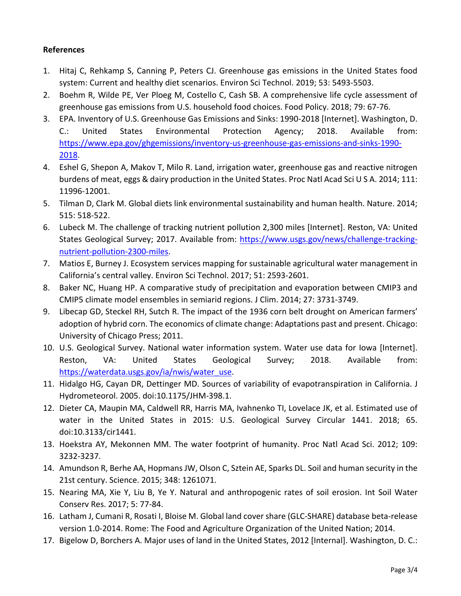## **References**

- 1. Hitaj C, Rehkamp S, Canning P, Peters CJ. Greenhouse gas emissions in the United States food system: Current and healthy diet scenarios. Environ Sci Technol. 2019; 53: 5493-5503.
- 2. Boehm R, Wilde PE, Ver Ploeg M, Costello C, Cash SB. A comprehensive life cycle assessment of greenhouse gas emissions from U.S. household food choices. Food Policy. 2018; 79: 67-76.
- 3. EPA. Inventory of U.S. Greenhouse Gas Emissions and Sinks: 1990-2018 [Internet]. Washington, D. C.: United States Environmental Protection Agency; 2018. Available from: [https://www.epa.gov/ghgemissions/inventory-us-greenhouse-gas-emissions-and-sinks-1990-](https://www.epa.gov/ghgemissions/inventory-us-greenhouse-gas-emissions-and-sinks-1990-2018) [2018.](https://www.epa.gov/ghgemissions/inventory-us-greenhouse-gas-emissions-and-sinks-1990-2018)
- 4. Eshel G, Shepon A, Makov T, Milo R. Land, irrigation water, greenhouse gas and reactive nitrogen burdens of meat, eggs & dairy production in the United States. Proc Natl Acad Sci U S A. 2014; 111: 11996-12001.
- 5. Tilman D, Clark M. Global diets link environmental sustainability and human health. Nature. 2014; 515: 518-522.
- 6. Lubeck M. The challenge of tracking nutrient pollution 2,300 miles [Internet]. Reston, VA: United States Geological Survey; 2017. Available from: [https://www.usgs.gov/news/challenge-tracking](https://www.usgs.gov/news/challenge-tracking-nutrient-pollution-2300-miles)[nutrient-pollution-2300-miles.](https://www.usgs.gov/news/challenge-tracking-nutrient-pollution-2300-miles)
- 7. Matios E, Burney J. Ecosystem services mapping for sustainable agricultural water management in California's central valley. Environ Sci Technol. 2017; 51: 2593-2601.
- 8. Baker NC, Huang HP. A comparative study of precipitation and evaporation between CMIP3 and CMIP5 climate model ensembles in semiarid regions. J Clim. 2014; 27: 3731-3749.
- 9. Libecap GD, Steckel RH, Sutch R. The impact of the 1936 corn belt drought on American farmers' adoption of hybrid corn. The economics of climate change: Adaptations past and present. Chicago: University of Chicago Press; 2011.
- 10. U.S. Geological Survey. National water information system. Water use data for Iowa [Internet]. Reston, VA: United States Geological Survey; 2018. Available from: [https://waterdata.usgs.gov/ia/nwis/water\\_use.](https://waterdata.usgs.gov/ia/nwis/water_use)
- 11. Hidalgo HG, Cayan DR, Dettinger MD. Sources of variability of evapotranspiration in California. J Hydrometeorol. 2005. doi:10.1175/JHM-398.1.
- 12. Dieter CA, Maupin MA, Caldwell RR, Harris MA, Ivahnenko TI, Lovelace JK, et al. Estimated use of water in the United States in 2015: U.S. Geological Survey Circular 1441. 2018; 65. doi:10.3133/cir1441.
- 13. Hoekstra AY, Mekonnen MM. The water footprint of humanity. Proc Natl Acad Sci. 2012; 109: 3232-3237.
- 14. Amundson R, Berhe AA, Hopmans JW, Olson C, Sztein AE, Sparks DL. Soil and human security in the 21st century. Science. 2015; 348: 1261071.
- 15. Nearing MA, Xie Y, Liu B, Ye Y. Natural and anthropogenic rates of soil erosion. Int Soil Water Conserv Res. 2017; 5: 77-84.
- 16. Latham J, Cumani R, Rosati I, Bloise M. Global land cover share (GLC-SHARE) database beta-release version 1.0-2014. Rome: The Food and Agriculture Organization of the United Nation; 2014.
- 17. Bigelow D, Borchers A. Major uses of land in the United States, 2012 [Internal]. Washington, D. C.: